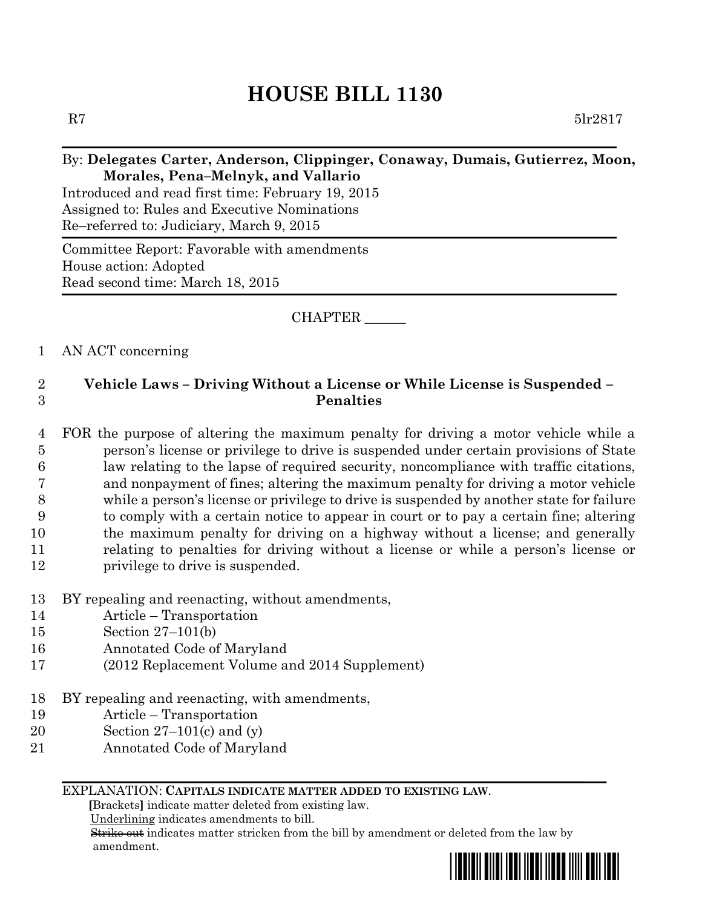# **HOUSE BILL 1130**

R7  $5\text{lr}2817$ 

### By: **Delegates Carter, Anderson, Clippinger, Conaway, Dumais, Gutierrez, Moon, Morales, Pena–Melnyk, and Vallario**

Introduced and read first time: February 19, 2015 Assigned to: Rules and Executive Nominations Re–referred to: Judiciary, March 9, 2015

Committee Report: Favorable with amendments House action: Adopted Read second time: March 18, 2015

### CHAPTER \_\_\_\_\_\_

#### 1 AN ACT concerning

## 2 **Vehicle Laws – Driving Without a License or While License is Suspended –** 3 **Penalties**

 FOR the purpose of altering the maximum penalty for driving a motor vehicle while a person's license or privilege to drive is suspended under certain provisions of State law relating to the lapse of required security, noncompliance with traffic citations, and nonpayment of fines; altering the maximum penalty for driving a motor vehicle while a person's license or privilege to drive is suspended by another state for failure to comply with a certain notice to appear in court or to pay a certain fine; altering the maximum penalty for driving on a highway without a license; and generally relating to penalties for driving without a license or while a person's license or 12 privilege to drive is suspended.

- 13 BY repealing and reenacting, without amendments,
- 14 Article Transportation
- 15 Section 27–101(b)
- 16 Annotated Code of Maryland
- 17 (2012 Replacement Volume and 2014 Supplement)
- 18 BY repealing and reenacting, with amendments,
- 19 Article Transportation
- 20 Section 27–101(c) and (y)
- 21 Annotated Code of Maryland

#### EXPLANATION: **CAPITALS INDICATE MATTER ADDED TO EXISTING LAW**.

 **[**Brackets**]** indicate matter deleted from existing law.

Underlining indicates amendments to bill.

 Strike out indicates matter stricken from the bill by amendment or deleted from the law by amendment.

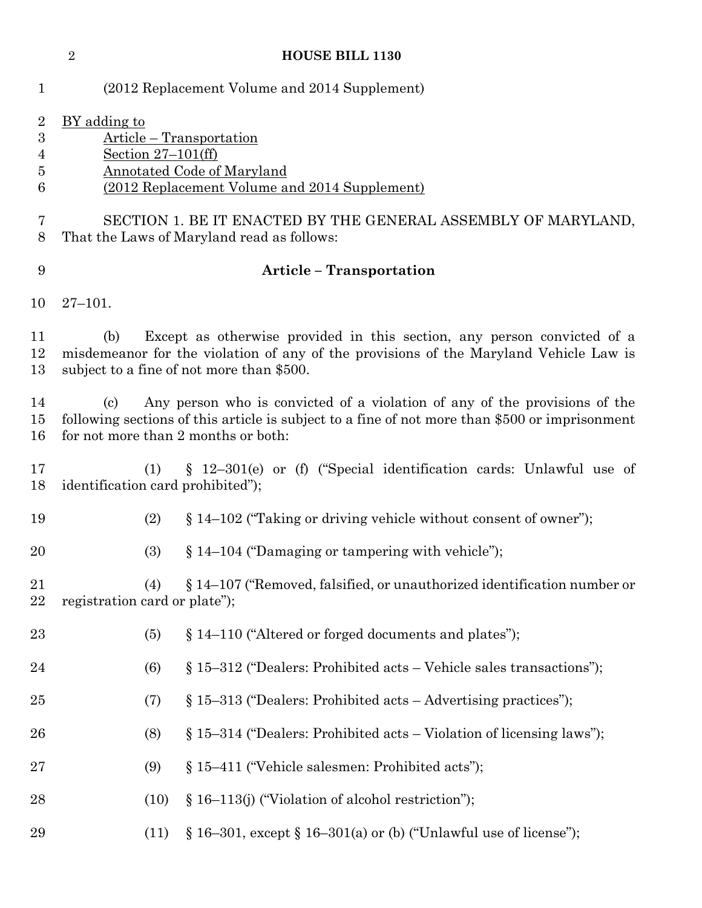|                                                                | $\overline{2}$                                                                                                                                                                                                             |                      | <b>HOUSE BILL 1130</b>                                                                                                                                                                                        |  |
|----------------------------------------------------------------|----------------------------------------------------------------------------------------------------------------------------------------------------------------------------------------------------------------------------|----------------------|---------------------------------------------------------------------------------------------------------------------------------------------------------------------------------------------------------------|--|
| $\mathbf{1}$                                                   |                                                                                                                                                                                                                            |                      | (2012 Replacement Volume and 2014 Supplement)                                                                                                                                                                 |  |
| $\overline{2}$<br>$\boldsymbol{3}$<br>$\overline{4}$<br>5<br>6 | <u>BY</u> adding to                                                                                                                                                                                                        | Section $27-101(ff)$ | Article – Transportation<br><b>Annotated Code of Maryland</b><br>(2012 Replacement Volume and 2014 Supplement)                                                                                                |  |
| 7<br>8                                                         | SECTION 1. BE IT ENACTED BY THE GENERAL ASSEMBLY OF MARYLAND,<br>That the Laws of Maryland read as follows:                                                                                                                |                      |                                                                                                                                                                                                               |  |
| 9                                                              | <b>Article - Transportation</b>                                                                                                                                                                                            |                      |                                                                                                                                                                                                               |  |
| 10                                                             | $27 - 101.$                                                                                                                                                                                                                |                      |                                                                                                                                                                                                               |  |
| 11<br>12<br>13                                                 | (b)                                                                                                                                                                                                                        |                      | Except as otherwise provided in this section, any person convicted of a<br>misdemeanor for the violation of any of the provisions of the Maryland Vehicle Law is<br>subject to a fine of not more than \$500. |  |
| 14<br>15<br>16                                                 | Any person who is convicted of a violation of any of the provisions of the<br>(c)<br>following sections of this article is subject to a fine of not more than \$500 or imprisonment<br>for not more than 2 months or both: |                      |                                                                                                                                                                                                               |  |
| 17<br>18                                                       |                                                                                                                                                                                                                            | (1)                  | $\S$ 12-301(e) or (f) ("Special identification cards: Unlawful use of<br>identification card prohibited");                                                                                                    |  |
| 19                                                             |                                                                                                                                                                                                                            | (2)                  | $\S 14-102$ ("Taking or driving vehicle without consent of owner");                                                                                                                                           |  |
| 20                                                             |                                                                                                                                                                                                                            | (3)                  | $\S 14-104$ ("Damaging or tampering with vehicle");                                                                                                                                                           |  |
| 21<br>22                                                       | registration card or plate");                                                                                                                                                                                              | (4)                  | § 14–107 ("Removed, falsified, or unauthorized identification number or                                                                                                                                       |  |
| 23                                                             |                                                                                                                                                                                                                            | (5)                  | § 14-110 ("Altered or forged documents and plates");                                                                                                                                                          |  |
| 24                                                             |                                                                                                                                                                                                                            | (6)                  | § 15-312 ("Dealers: Prohibited acts - Vehicle sales transactions");                                                                                                                                           |  |
| $25\,$                                                         |                                                                                                                                                                                                                            | (7)                  | $§$ 15–313 ("Dealers: Prohibited acts – Advertising practices");                                                                                                                                              |  |
| 26                                                             |                                                                                                                                                                                                                            | (8)                  | $\S 15-314$ ("Dealers: Prohibited acts – Violation of licensing laws");                                                                                                                                       |  |
| $27\,$                                                         |                                                                                                                                                                                                                            | (9)                  | § 15–411 ("Vehicle salesmen: Prohibited acts");                                                                                                                                                               |  |
| 28                                                             |                                                                                                                                                                                                                            | (10)                 | § 16–113(j) ("Violation of alcohol restriction");                                                                                                                                                             |  |
| 29                                                             |                                                                                                                                                                                                                            | (11)                 | $\S 16-301$ , except $\S 16-301$ (a) or (b) ("Unlawful use of license");                                                                                                                                      |  |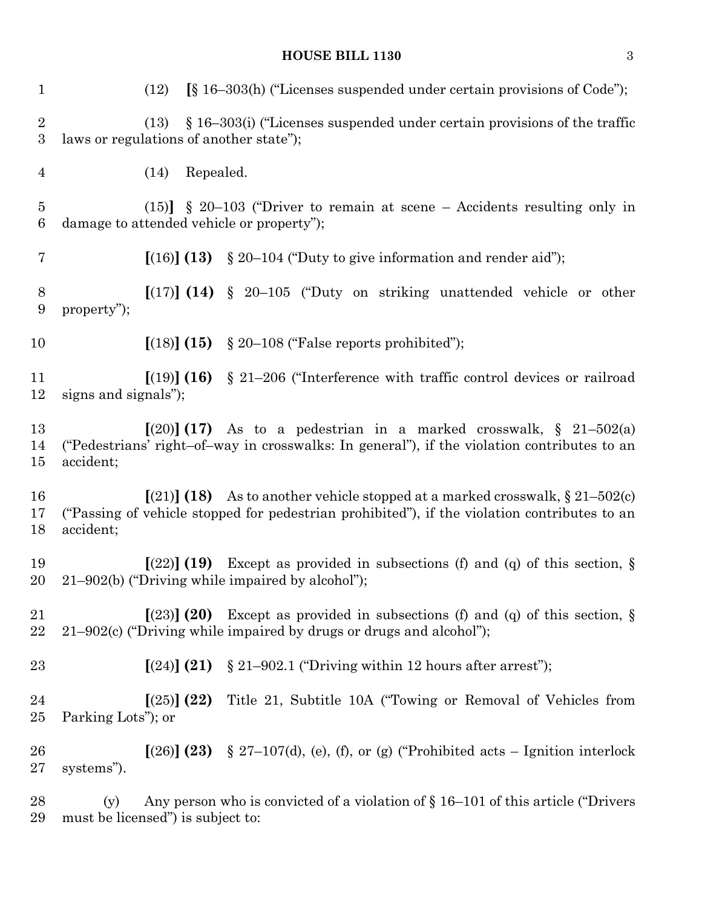# **HOUSE BILL 1130** 3

| $\mathbf{1}$                       | $\S$ 16–303(h) ("Licenses suspended under certain provisions of Code");<br>(12)                                                                                                           |
|------------------------------------|-------------------------------------------------------------------------------------------------------------------------------------------------------------------------------------------|
| $\overline{2}$<br>$\boldsymbol{3}$ | $\S$ 16–303(i) ("Licenses suspended under certain provisions of the traffic<br>(13)<br>laws or regulations of another state");                                                            |
| $\overline{4}$                     | Repealed.<br>(14)                                                                                                                                                                         |
| $\overline{5}$<br>6                | $(15)$ § 20-103 ("Driver to remain at scene – Accidents resulting only in<br>damage to attended vehicle or property");                                                                    |
| 7                                  | [(16)] (13)<br>$\S 20-104$ ("Duty to give information and render aid");                                                                                                                   |
| $8\,$<br>9                         | $\left[\frac{17}{12}\right]$ (14) § 20–105 ("Duty on striking unattended vehicle or other<br>property");                                                                                  |
| 10                                 | $(18)$ $(15)$ § 20–108 ("False reports prohibited");                                                                                                                                      |
| 11<br>12                           | [(19)] (16)<br>$\S$ 21–206 ("Interference with traffic control devices or railroad<br>signs and signals");                                                                                |
| 13<br>14<br>15                     | $(20)$ (17) As to a pedestrian in a marked crosswalk, § 21–502(a)<br>("Pedestrians' right-of-way in crosswalks: In general"), if the violation contributes to an<br>accident;             |
| 16<br>17<br>18                     | $(21)$ (18) As to another vehicle stopped at a marked crosswalk, § 21–502(c)<br>("Passing of vehicle stopped for pedestrian prohibited"), if the violation contributes to an<br>accident; |
| 19<br>20                           | $(22)$ (19) Except as provided in subsections (f) and (q) of this section, §<br>$21-902(b)$ ("Driving while impaired by alcohol");                                                        |
| 21<br>22                           | $(23)$ (20) Except as provided in subsections (f) and (q) of this section, $\S$<br>$21-902(c)$ ("Driving while impaired by drugs or drugs and alcohol");                                  |
| 23                                 | $\S 21-902.1$ ("Driving within 12 hours after arrest");<br>[(24)] (21)                                                                                                                    |
| 24<br>25                           | [(25)] (22)<br>Title 21, Subtitle 10A ("Towing or Removal of Vehicles from<br>Parking Lots"; or                                                                                           |
| 26<br>$27\,$                       | $[(26)]$ (23) § 27–107(d), (e), (f), or (g) ("Prohibited acts – Ignition interlock<br>systems").                                                                                          |
| 28<br>29                           | Any person who is convicted of a violation of $\S 16-101$ of this article ("Drivers")<br>(y)<br>must be licensed") is subject to:                                                         |
|                                    |                                                                                                                                                                                           |